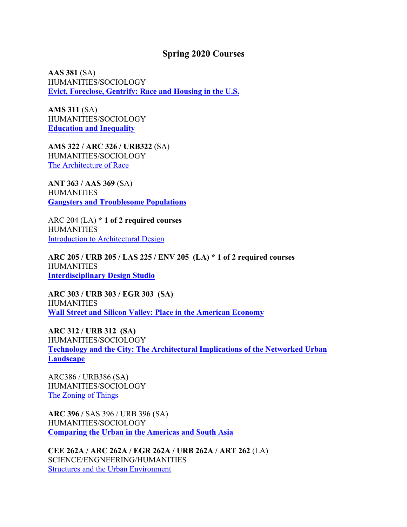## **Spring 2020 Courses**

**AAS 381** (SA) HUMANITIES/SOCIOLOGY **Evict, Foreclose, Gentrify: Race and Housing in the U.S.**

**AMS 311** (SA) HUMANITIES/SOCIOLOGY **Education and Inequality**

**AMS 322 / ARC 326 / URB322** (SA) HUMANITIES/SOCIOLOGY The Architecture of Race

**ANT 363 / AAS 369** (SA) **HUMANITIES Gangsters and Troublesome Populations**

ARC 204 (LA) **\* 1 of 2 required courses** HUMANITIES Introduction to Architectural Design

**ARC 205 / URB 205 / LAS 225 / ENV 205 (LA) \* 1 of 2 required courses HUMANITIES Interdisciplinary Design Studio**

**ARC 303 / URB 303 / EGR 303 (SA) HUMANITIES Wall Street and Silicon Valley: Place in the American Economy**

**ARC 312 / URB 312 (SA)** HUMANITIES/SOCIOLOGY **Technology and the City: The Architectural Implications of the Networked Urban Landscape**

ARC386 / URB386 (SA) HUMANITIES/SOCIOLOGY The Zoning of Things

**ARC 396 /** SAS 396 / URB 396 (SA) HUMANITIES/SOCIOLOGY **Comparing the Urban in the Americas and South Asia**

**CEE 262A / ARC 262A / EGR 262A / URB 262A / ART 262** (LA) SCIENCE/ENGNEERING/HUMANITIES Structures and the Urban Environment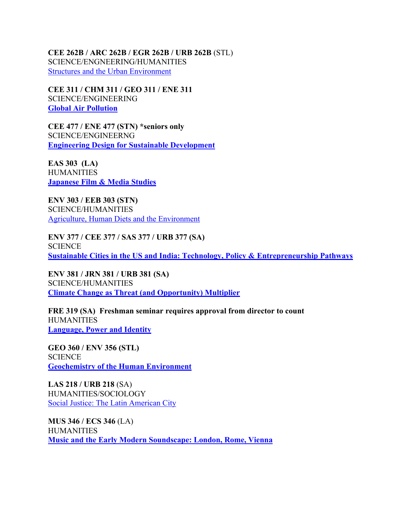**CEE 262B / ARC 262B / EGR 262B / URB 262B** (STL) SCIENCE/ENGNEERING/HUMANITIES Structures and the Urban Environment

**CEE 311 / CHM 311 / GEO 311 / ENE 311** SCIENCE/ENGINEERING **Global Air Pollution**

**CEE 477 / ENE 477 (STN) \*seniors only** SCIENCE/ENGINEERNG **Engineering Design for Sustainable Development**

**EAS 303 (LA) HUMANITIES Japanese Film & Media Studies**

**ENV 303 / EEB 303 (STN)** SCIENCE/HUMANITIES Agriculture, Human Diets and the Environment

**ENV 377 / CEE 377 / SAS 377 / URB 377 (SA) SCIENCE Sustainable Cities in the US and India: Technology, Policy & Entrepreneurship Pathways**

**ENV 381 / JRN 381 / URB 381 (SA)** SCIENCE/HUMANITIES **Climate Change as Threat (and Opportunity) Multiplier**

**FRE 319 (SA) Freshman seminar requires approval from director to count HUMANITIES Language, Power and Identity**

**GEO 360 / ENV 356 (STL) SCIENCE Geochemistry of the Human Environment**

**LAS 218 / URB 218** (SA) HUMANITIES/SOCIOLOGY Social Justice: The Latin American City

**MUS 346 / ECS 346** (LA) **HUMANITIES Music and the Early Modern Soundscape: London, Rome, Vienna**